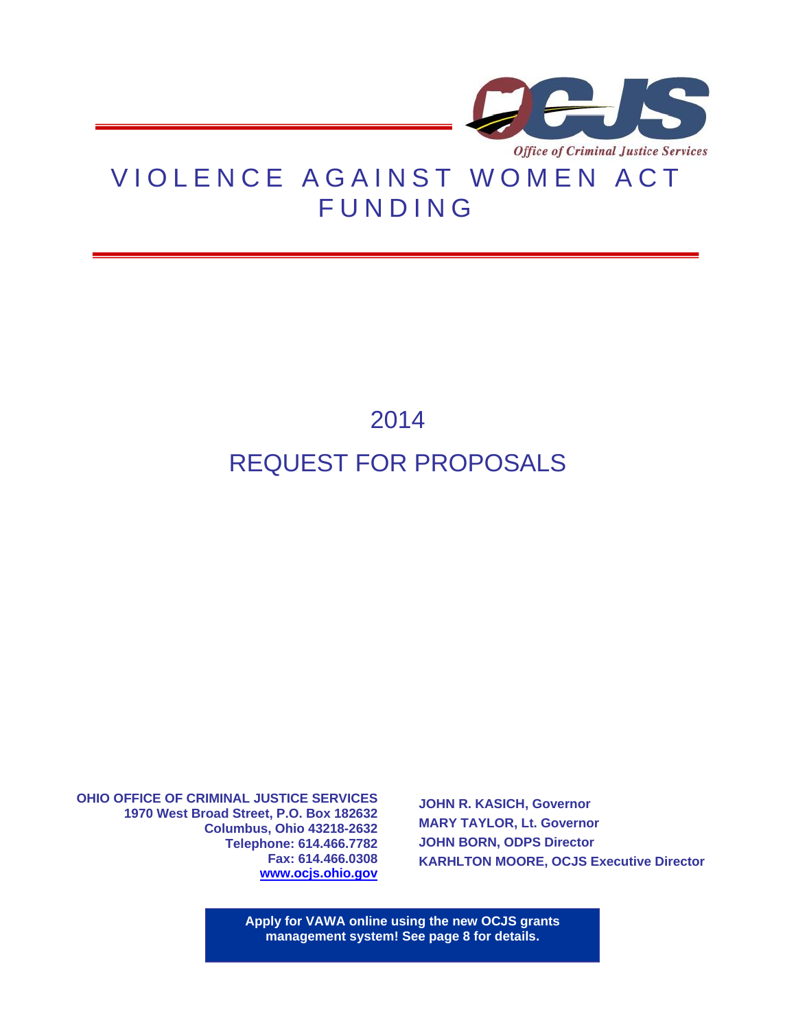

## VIOLENCE AGAINST WOMEN ACT **FUNDING**

# 2014 REQUEST FOR PROPOSALS

**OHIO OFFICE OF CRIMINAL JUSTICE SERVICES 1970 West Broad Street, P.O. Box 182632 Columbus, Ohio 43218-2632 Telephone: 614.466.7782 Fax: 614.466.0308 [www.ocjs.ohio.gov](http://www.publicsafety.ohio.gov/odps_ocjs)**

**JOHN R. KASICH, Governor MARY TAYLOR, Lt. Governor JOHN BORN, ODPS Director KARHLTON MOORE, OCJS Executive Director**

**Apply for VAWA online using the new OCJS grants management system! See page 8 for details.**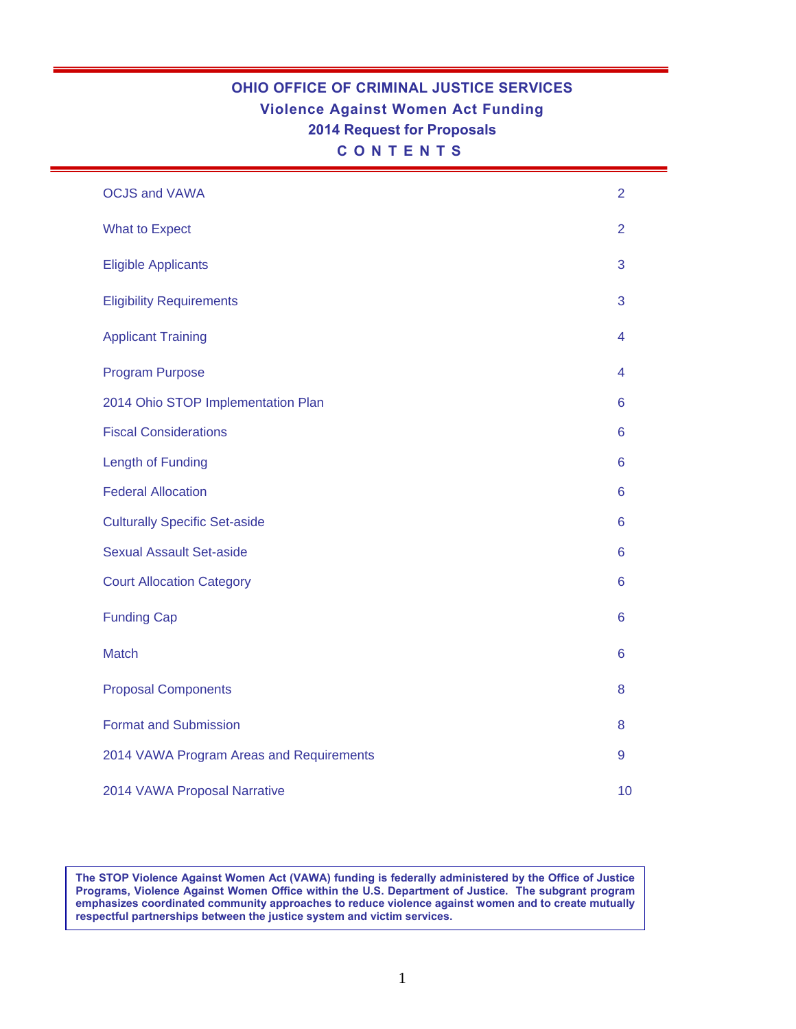## **OHIO OFFICE OF CRIMINAL JUSTICE SERVICES Violence Against Women Act Funding 2014 Request for Proposals C O N T E N T S**

| <b>OCJS and VAWA</b>                     | 2              |
|------------------------------------------|----------------|
| <b>What to Expect</b>                    | $\overline{2}$ |
| <b>Eligible Applicants</b>               | 3              |
| <b>Eligibility Requirements</b>          | 3              |
| <b>Applicant Training</b>                | 4              |
| <b>Program Purpose</b>                   | 4              |
| 2014 Ohio STOP Implementation Plan       | 6              |
| <b>Fiscal Considerations</b>             | 6              |
| <b>Length of Funding</b>                 | 6              |
| <b>Federal Allocation</b>                | 6              |
| <b>Culturally Specific Set-aside</b>     | 6              |
| <b>Sexual Assault Set-aside</b>          | 6              |
| <b>Court Allocation Category</b>         | 6              |
| <b>Funding Cap</b>                       | 6              |
| <b>Match</b>                             | 6              |
| <b>Proposal Components</b>               | 8              |
| <b>Format and Submission</b>             | 8              |
| 2014 VAWA Program Areas and Requirements | 9              |
| 2014 VAWA Proposal Narrative             | 10             |

**The STOP Violence Against Women Act (VAWA) funding is federally administered by the Office of Justice Programs, Violence Against Women Office within the U.S. Department of Justice. The subgrant program emphasizes coordinated community approaches to reduce violence against women and to create mutually respectful partnerships between the justice system and victim services.**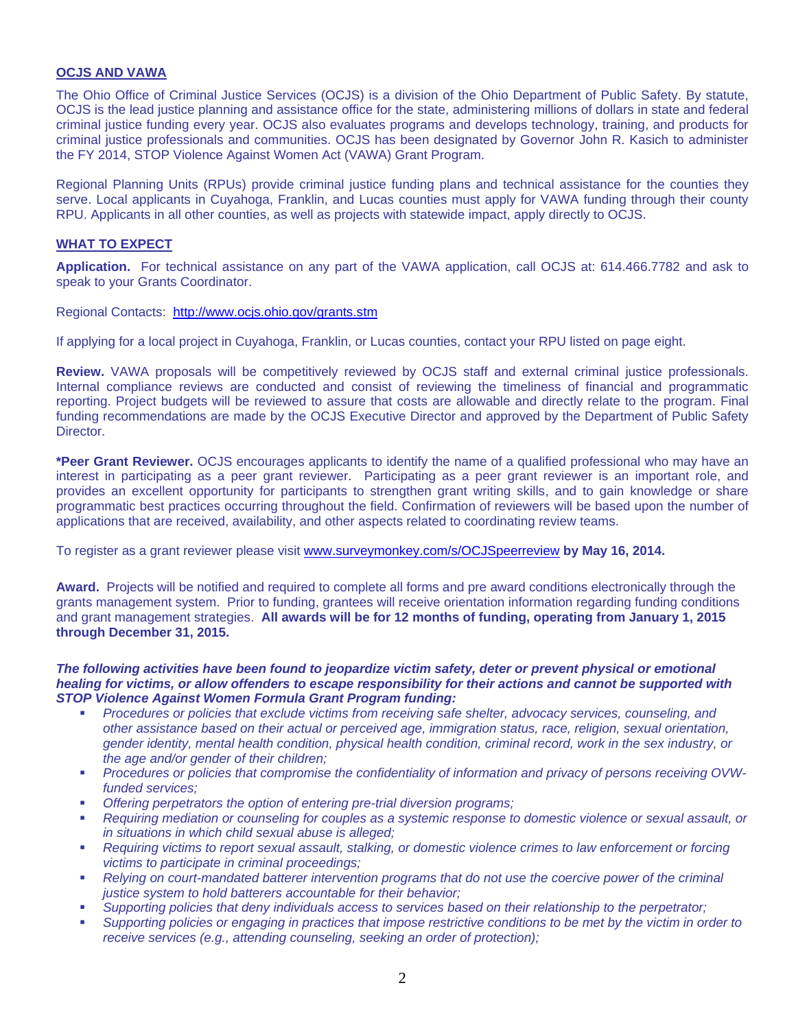#### **OCJS AND VAWA**

The Ohio Office of Criminal Justice Services (OCJS) is a division of the Ohio Department of Public Safety. By statute, OCJS is the lead justice planning and assistance office for the state, administering millions of dollars in state and federal criminal justice funding every year. OCJS also evaluates programs and develops technology, training, and products for criminal justice professionals and communities. OCJS has been designated by Governor John R. Kasich to administer the FY 2014, STOP Violence Against Women Act (VAWA) Grant Program.

Regional Planning Units (RPUs) provide criminal justice funding plans and technical assistance for the counties they serve. Local applicants in Cuyahoga, Franklin, and Lucas counties must apply for VAWA funding through their county RPU. Applicants in all other counties, as well as projects with statewide impact, apply directly to OCJS.

#### **WHAT TO EXPECT**

**Application.** For technical assistance on any part of the VAWA application, call OCJS at: 614.466.7782 and ask to speak to your Grants Coordinator.

Regional Contacts: <http://www.ocjs.ohio.gov/grants.stm>

If applying for a local project in Cuyahoga, Franklin, or Lucas counties, contact your RPU listed on page eight.

**Review.** VAWA proposals will be competitively reviewed by OCJS staff and external criminal justice professionals. Internal compliance reviews are conducted and consist of reviewing the timeliness of financial and programmatic reporting. Project budgets will be reviewed to assure that costs are allowable and directly relate to the program. Final funding recommendations are made by the OCJS Executive Director and approved by the Department of Public Safety Director.

**\*Peer Grant Reviewer.** OCJS encourages applicants to identify the name of a qualified professional who may have an interest in participating as a peer grant reviewer. Participating as a peer grant reviewer is an important role, and provides an excellent opportunity for participants to strengthen grant writing skills, and to gain knowledge or share programmatic best practices occurring throughout the field. Confirmation of reviewers will be based upon the number of applications that are received, availability, and other aspects related to coordinating review teams.

To register as a grant reviewer please visit [www.surveymonkey.com/s/OCJSpeerreview](http://www.surveymonkey.com/s/OCJSpeerreview) **by May 16, 2014.**

**Award.** Projects will be notified and required to complete all forms and pre award conditions electronically through the grants management system. Prior to funding, grantees will receive orientation information regarding funding conditions and grant management strategies. **All awards will be for 12 months of funding, operating from January 1, 2015 through December 31, 2015.**

#### *The following activities have been found to jeopardize victim safety, deter or prevent physical or emotional healing for victims, or allow offenders to escape responsibility for their actions and cannot be supported with STOP Violence Against Women Formula Grant Program funding:*

- *Procedures or policies that exclude victims from receiving safe shelter, advocacy services, counseling, and other assistance based on their actual or perceived age, immigration status, race, religion, sexual orientation, gender identity, mental health condition, physical health condition, criminal record, work in the sex industry, or the age and/or gender of their children;*
- *Procedures or policies that compromise the confidentiality of information and privacy of persons receiving OVWfunded services;*
- *Offering perpetrators the option of entering pre-trial diversion programs;*
- *Requiring mediation or counseling for couples as a systemic response to domestic violence or sexual assault, or in situations in which child sexual abuse is alleged;*
- *Requiring victims to report sexual assault, stalking, or domestic violence crimes to law enforcement or forcing victims to participate in criminal proceedings;*
- **Relying on court-mandated batterer intervention programs that do not use the coercive power of the criminal** *justice system to hold batterers accountable for their behavior;*
- *Supporting policies that deny individuals access to services based on their relationship to the perpetrator;*
- *Supporting policies or engaging in practices that impose restrictive conditions to be met by the victim in order to receive services (e.g., attending counseling, seeking an order of protection);*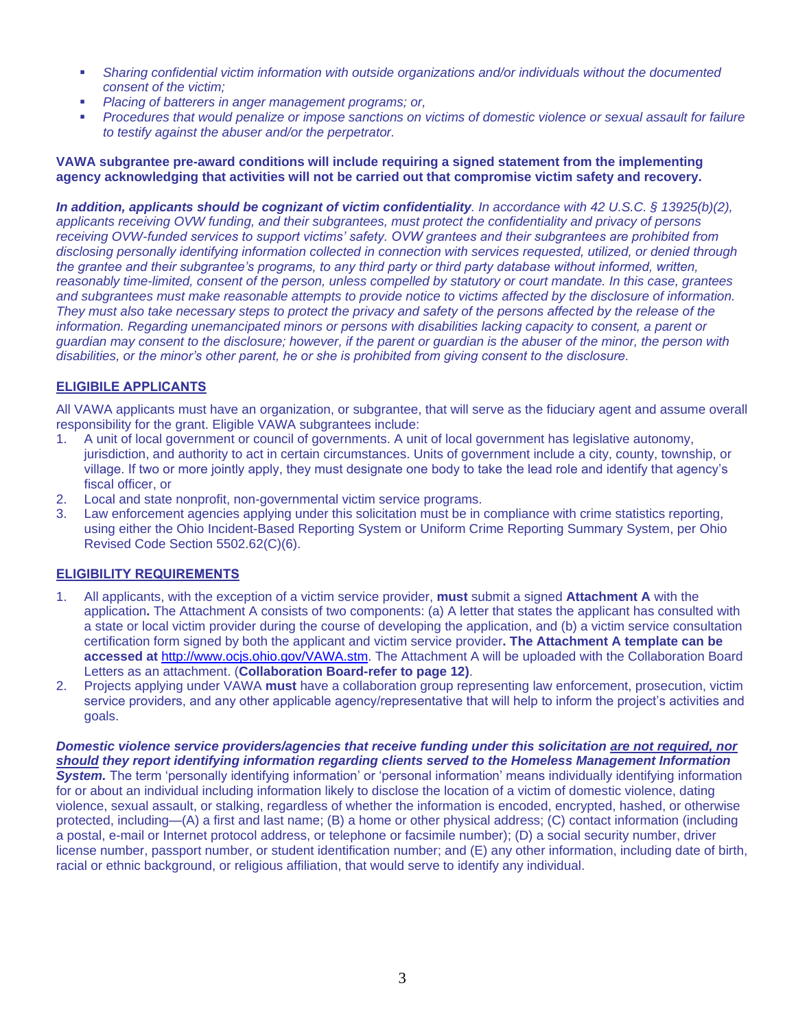- *Sharing confidential victim information with outside organizations and/or individuals without the documented consent of the victim;*
- *Placing of batterers in anger management programs; or,*
- *Procedures that would penalize or impose sanctions on victims of domestic violence or sexual assault for failure to testify against the abuser and/or the perpetrator.*

#### **VAWA subgrantee pre-award conditions will include requiring a signed statement from the implementing agency acknowledging that activities will not be carried out that compromise victim safety and recovery.**

*In addition, applicants should be cognizant of victim confidentiality. In accordance with 42 U.S.C. § 13925(b)(2), applicants receiving OVW funding, and their subgrantees, must protect the confidentiality and privacy of persons receiving OVW-funded services to support victims' safety. OVW grantees and their subgrantees are prohibited from disclosing personally identifying information collected in connection with services requested, utilized, or denied through the grantee and their subgrantee's programs, to any third party or third party database without informed, written, reasonably time-limited, consent of the person, unless compelled by statutory or court mandate. In this case, grantees and subgrantees must make reasonable attempts to provide notice to victims affected by the disclosure of information. They must also take necessary steps to protect the privacy and safety of the persons affected by the release of the information. Regarding unemancipated minors or persons with disabilities lacking capacity to consent, a parent or guardian may consent to the disclosure; however, if the parent or guardian is the abuser of the minor, the person with disabilities, or the minor's other parent, he or she is prohibited from giving consent to the disclosure.*

#### **ELIGIBILE APPLICANTS**

All VAWA applicants must have an organization, or subgrantee, that will serve as the fiduciary agent and assume overall responsibility for the grant. Eligible VAWA subgrantees include:

- 1. A unit of local government or council of governments. A unit of local government has legislative autonomy, jurisdiction, and authority to act in certain circumstances. Units of government include a city, county, township, or village. If two or more jointly apply, they must designate one body to take the lead role and identify that agency's fiscal officer, or
- 2. Local and state nonprofit, non-governmental victim service programs.
- 3. Law enforcement agencies applying under this solicitation must be in compliance with crime statistics reporting, using either the Ohio Incident-Based Reporting System or Uniform Crime Reporting Summary System, per Ohio Revised Code Section 5502.62(C)(6).

#### **ELIGIBILITY REQUIREMENTS**

- 1. All applicants, with the exception of a victim service provider, **must** submit a signed **Attachment A** with the application**.** The Attachment A consists of two components: (a) A letter that states the applicant has consulted with a state or local victim provider during the course of developing the application, and (b) a victim service consultation certification form signed by both the applicant and victim service provider**. The Attachment A template can be accessed at** [http://www.ocjs.ohio.gov/VAWA.stm.](http://www.ocjs.ohio.gov/VAWA.stm) The Attachment A will be uploaded with the Collaboration Board Letters as an attachment. (**Collaboration Board-refer to page 12)**.
- 2. Projects applying under VAWA **must** have a collaboration group representing law enforcement, prosecution, victim service providers, and any other applicable agency/representative that will help to inform the project's activities and goals.

#### *Domestic violence service providers/agencies that receive funding under this solicitation are not required, nor should they report identifying information regarding clients served to the Homeless Management Information*

*System.* The term 'personally identifying information' or 'personal information' means individually identifying information for or about an individual including information likely to disclose the location of a victim of domestic violence, dating violence, sexual assault, or stalking, regardless of whether the information is encoded, encrypted, hashed, or otherwise protected, including—(A) a first and last name; (B) a home or other physical address; (C) contact information (including a postal, e-mail or Internet protocol address, or telephone or facsimile number); (D) a social security number, driver license number, passport number, or student identification number; and (E) any other information, including date of birth, racial or ethnic background, or religious affiliation, that would serve to identify any individual.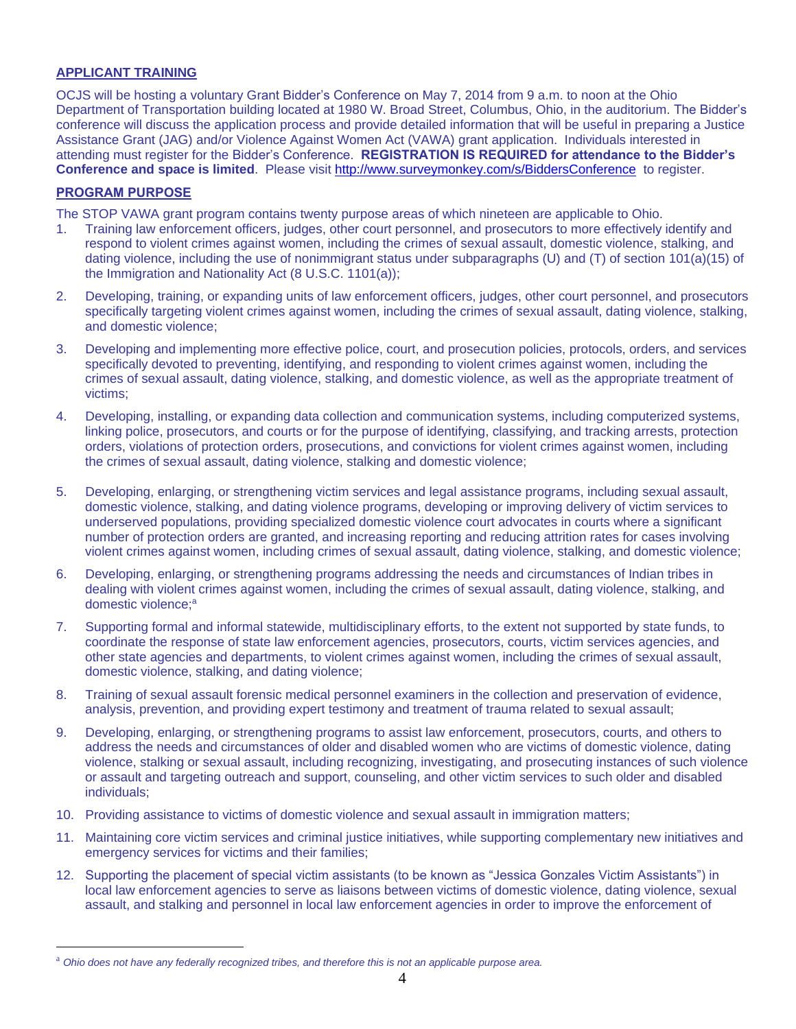#### **APPLICANT TRAINING**

OCJS will be hosting a voluntary Grant Bidder's Conference on May 7, 2014 from 9 a.m. to noon at the Ohio Department of Transportation building located at 1980 W. Broad Street, Columbus, Ohio, in the auditorium. The Bidder's conference will discuss the application process and provide detailed information that will be useful in preparing a Justice Assistance Grant (JAG) and/or Violence Against Women Act (VAWA) grant application. Individuals interested in attending must register for the Bidder's Conference. **REGISTRATION IS REQUIRED for attendance to the Bidder's Conference and space is limited**. Please visit <http://www.surveymonkey.com/s/BiddersConference> to register.

#### **PROGRAM PURPOSE**

 $\overline{a}$ 

The STOP VAWA grant program contains twenty purpose areas of which nineteen are applicable to Ohio.

- 1. Training law enforcement officers, judges, other court personnel, and prosecutors to more effectively identify and respond to violent crimes against women, including the crimes of sexual assault, domestic violence, stalking, and dating violence, including the use of nonimmigrant status under subparagraphs (U) and (T) of section 101(a)(15) of the Immigration and Nationality Act (8 U.S.C. 1101(a));
- 2. Developing, training, or expanding units of law enforcement officers, judges, other court personnel, and prosecutors specifically targeting violent crimes against women, including the crimes of sexual assault, dating violence, stalking, and domestic violence;
- 3. Developing and implementing more effective police, court, and prosecution policies, protocols, orders, and services specifically devoted to preventing, identifying, and responding to violent crimes against women, including the crimes of sexual assault, dating violence, stalking, and domestic violence, as well as the appropriate treatment of victims;
- 4. Developing, installing, or expanding data collection and communication systems, including computerized systems, linking police, prosecutors, and courts or for the purpose of identifying, classifying, and tracking arrests, protection orders, violations of protection orders, prosecutions, and convictions for violent crimes against women, including the crimes of sexual assault, dating violence, stalking and domestic violence;
- 5. Developing, enlarging, or strengthening victim services and legal assistance programs, including sexual assault, domestic violence, stalking, and dating violence programs, developing or improving delivery of victim services to underserved populations, providing specialized domestic violence court advocates in courts where a significant number of protection orders are granted, and increasing reporting and reducing attrition rates for cases involving violent crimes against women, including crimes of sexual assault, dating violence, stalking, and domestic violence;
- 6. Developing, enlarging, or strengthening programs addressing the needs and circumstances of Indian tribes in dealing with violent crimes against women, including the crimes of sexual assault, dating violence, stalking, and domestic violence;<sup>a</sup>
- 7. Supporting formal and informal statewide, multidisciplinary efforts, to the extent not supported by state funds, to coordinate the response of state law enforcement agencies, prosecutors, courts, victim services agencies, and other state agencies and departments, to violent crimes against women, including the crimes of sexual assault, domestic violence, stalking, and dating violence;
- 8. Training of sexual assault forensic medical personnel examiners in the collection and preservation of evidence, analysis, prevention, and providing expert testimony and treatment of trauma related to sexual assault;
- 9. Developing, enlarging, or strengthening programs to assist law enforcement, prosecutors, courts, and others to address the needs and circumstances of older and disabled women who are victims of domestic violence, dating violence, stalking or sexual assault, including recognizing, investigating, and prosecuting instances of such violence or assault and targeting outreach and support, counseling, and other victim services to such older and disabled individuals;
- 10. Providing assistance to victims of domestic violence and sexual assault in immigration matters;
- 11. Maintaining core victim services and criminal justice initiatives, while supporting complementary new initiatives and emergency services for victims and their families;
- 12. Supporting the placement of special victim assistants (to be known as "Jessica Gonzales Victim Assistants") in local law enforcement agencies to serve as liaisons between victims of domestic violence, dating violence, sexual assault, and stalking and personnel in local law enforcement agencies in order to improve the enforcement of

<sup>a</sup> *Ohio does not have any federally recognized tribes, and therefore this is not an applicable purpose area.*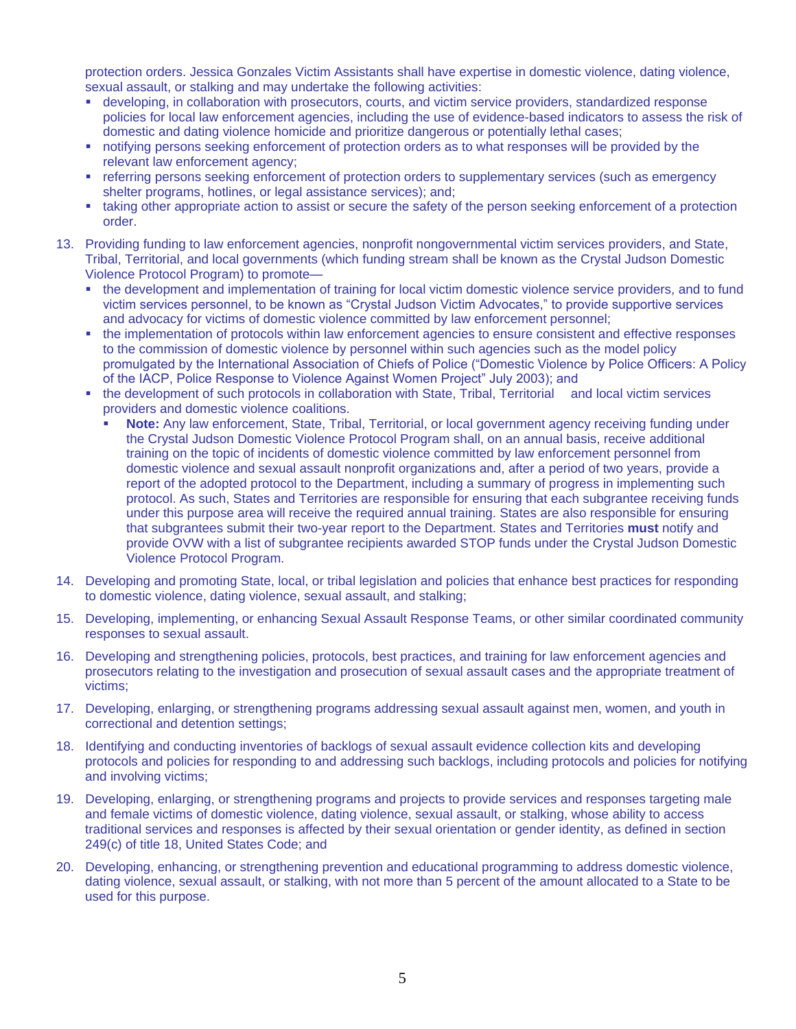protection orders. Jessica Gonzales Victim Assistants shall have expertise in domestic violence, dating violence, sexual assault, or stalking and may undertake the following activities:

- developing, in collaboration with prosecutors, courts, and victim service providers, standardized response policies for local law enforcement agencies, including the use of evidence-based indicators to assess the risk of domestic and dating violence homicide and prioritize dangerous or potentially lethal cases;
- notifying persons seeking enforcement of protection orders as to what responses will be provided by the relevant law enforcement agency;
- referring persons seeking enforcement of protection orders to supplementary services (such as emergency shelter programs, hotlines, or legal assistance services); and;
- taking other appropriate action to assist or secure the safety of the person seeking enforcement of a protection order.
- 13. Providing funding to law enforcement agencies, nonprofit nongovernmental victim services providers, and State, Tribal, Territorial, and local governments (which funding stream shall be known as the Crystal Judson Domestic Violence Protocol Program) to promote
	- the development and implementation of training for local victim domestic violence service providers, and to fund victim services personnel, to be known as "Crystal Judson Victim Advocates," to provide supportive services and advocacy for victims of domestic violence committed by law enforcement personnel;
	- the implementation of protocols within law enforcement agencies to ensure consistent and effective responses to the commission of domestic violence by personnel within such agencies such as the model policy promulgated by the International Association of Chiefs of Police ("Domestic Violence by Police Officers: A Policy of the IACP, Police Response to Violence Against Women Project" July 2003); and
	- the development of such protocols in collaboration with State, Tribal, Territorial and local victim services providers and domestic violence coalitions.
		- **Note:** Any law enforcement, State, Tribal, Territorial, or local government agency receiving funding under the Crystal Judson Domestic Violence Protocol Program shall, on an annual basis, receive additional training on the topic of incidents of domestic violence committed by law enforcement personnel from domestic violence and sexual assault nonprofit organizations and, after a period of two years, provide a report of the adopted protocol to the Department, including a summary of progress in implementing such protocol. As such, States and Territories are responsible for ensuring that each subgrantee receiving funds under this purpose area will receive the required annual training. States are also responsible for ensuring that subgrantees submit their two-year report to the Department. States and Territories **must** notify and provide OVW with a list of subgrantee recipients awarded STOP funds under the Crystal Judson Domestic Violence Protocol Program.
- 14. Developing and promoting State, local, or tribal legislation and policies that enhance best practices for responding to domestic violence, dating violence, sexual assault, and stalking;
- 15. Developing, implementing, or enhancing Sexual Assault Response Teams, or other similar coordinated community responses to sexual assault.
- 16. Developing and strengthening policies, protocols, best practices, and training for law enforcement agencies and prosecutors relating to the investigation and prosecution of sexual assault cases and the appropriate treatment of victims;
- 17. Developing, enlarging, or strengthening programs addressing sexual assault against men, women, and youth in correctional and detention settings;
- 18. Identifying and conducting inventories of backlogs of sexual assault evidence collection kits and developing protocols and policies for responding to and addressing such backlogs, including protocols and policies for notifying and involving victims;
- 19. Developing, enlarging, or strengthening programs and projects to provide services and responses targeting male and female victims of domestic violence, dating violence, sexual assault, or stalking, whose ability to access traditional services and responses is affected by their sexual orientation or gender identity, as defined in section 249(c) of title 18, United States Code; and
- 20. Developing, enhancing, or strengthening prevention and educational programming to address domestic violence, dating violence, sexual assault, or stalking, with not more than 5 percent of the amount allocated to a State to be used for this purpose.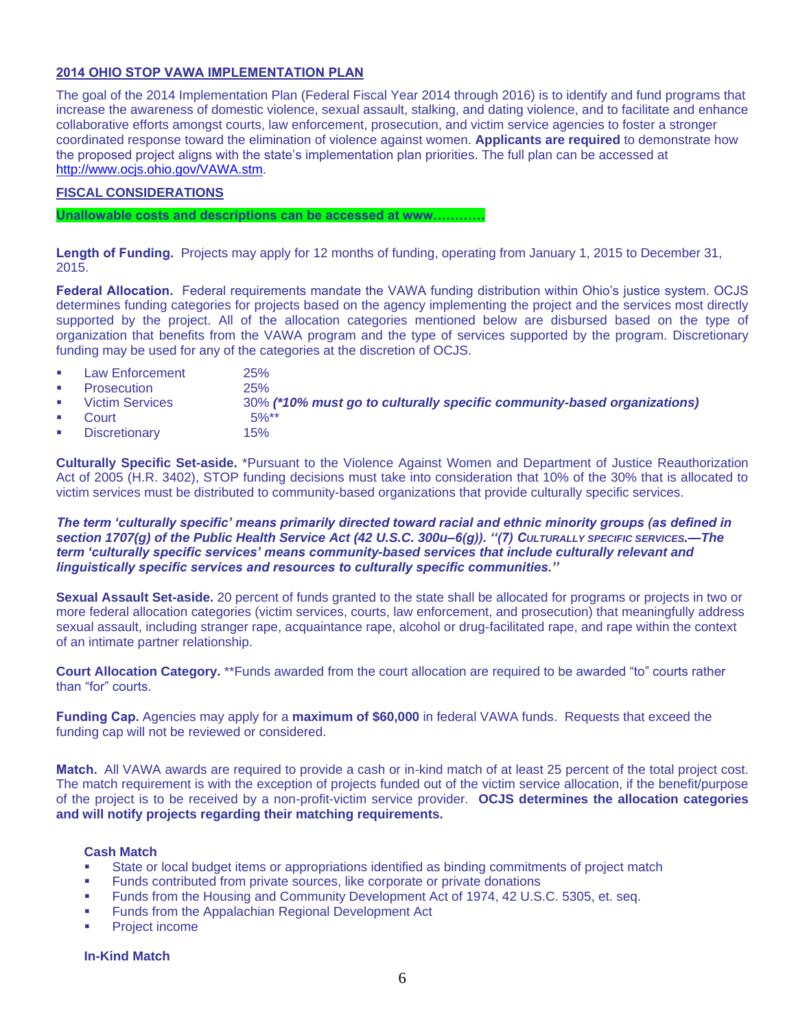#### **2014 OHIO STOP VAWA IMPLEMENTATION PLAN**

The goal of the 2014 Implementation Plan (Federal Fiscal Year 2014 through 2016) is to identify and fund programs that increase the awareness of domestic violence, sexual assault, stalking, and dating violence, and to facilitate and enhance collaborative efforts amongst courts, law enforcement, prosecution, and victim service agencies to foster a stronger coordinated response toward the elimination of violence against women. **Applicants are required** to demonstrate how the proposed project aligns with the state's implementation plan priorities. The full plan can be accessed at [http://www.ocjs.ohio.gov/VAWA.stm.](http://www.ocjs.ohio.gov/VAWA.stm)

#### **FISCAL CONSIDERATIONS**

**Unallowable costs and descriptions can be accessed at www…………**

**Length of Funding.** Projects may apply for 12 months of funding, operating from January 1, 2015 to December 31, 2015.

**Federal Allocation.** Federal requirements mandate the VAWA funding distribution within Ohio's justice system. OCJS determines funding categories for projects based on the agency implementing the project and the services most directly supported by the project. All of the allocation categories mentioned below are disbursed based on the type of organization that benefits from the VAWA program and the type of services supported by the program. Discretionary funding may be used for any of the categories at the discretion of OCJS.

- **Law Enforcement** 25%
	- Prosecution 25%
- - Victim Services 30% *(\*10% must go to culturally specific community-based organizations)*
- Court 5%\*
- Discretionary 15%

**Culturally Specific Set-aside.** \*Pursuant to the Violence Against Women and Department of Justice Reauthorization Act of 2005 (H.R. 3402), STOP funding decisions must take into consideration that 10% of the 30% that is allocated to victim services must be distributed to community-based organizations that provide culturally specific services.

#### *The term 'culturally specific' means primarily directed toward racial and ethnic minority groups (as defined in section 1707(g) of the Public Health Service Act (42 U.S.C. 300u–6(g)). ''(7) CULTURALLY SPECIFIC SERVICES.—The term 'culturally specific services' means community-based services that include culturally relevant and linguistically specific services and resources to culturally specific communities.''*

**Sexual Assault Set-aside.** 20 percent of funds granted to the state shall be allocated for programs or projects in two or more federal allocation categories (victim services, courts, law enforcement, and prosecution) that meaningfully address sexual assault, including stranger rape, acquaintance rape, alcohol or drug-facilitated rape, and rape within the context of an intimate partner relationship.

**Court Allocation Category.** \*\*Funds awarded from the court allocation are required to be awarded "to" courts rather than "for" courts.

**Funding Cap.** Agencies may apply for a **maximum of \$60,000** in federal VAWA funds. Requests that exceed the funding cap will not be reviewed or considered.

**Match.** All VAWA awards are required to provide a cash or in-kind match of at least 25 percent of the total project cost. The match requirement is with the exception of projects funded out of the victim service allocation, if the benefit/purpose of the project is to be received by a non-profit-victim service provider. **OCJS determines the allocation categories and will notify projects regarding their matching requirements.**

#### **Cash Match**

- State or local budget items or appropriations identified as binding commitments of project match
- Funds contributed from private sources, like corporate or private donations
- Funds from the Housing and Community Development Act of 1974, 42 U.S.C. 5305, et. seq.
- **Funds from the Appalachian Regional Development Act**
- Project income

#### **In-Kind Match**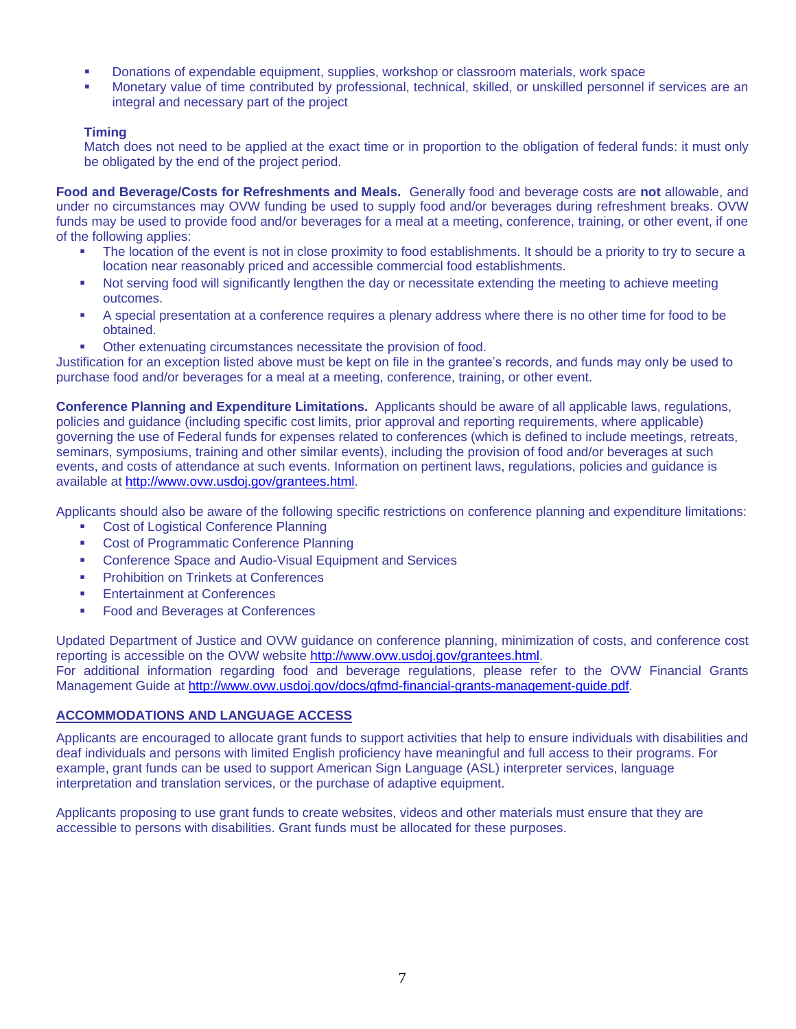- Donations of expendable equipment, supplies, workshop or classroom materials, work space
- Monetary value of time contributed by professional, technical, skilled, or unskilled personnel if services are an integral and necessary part of the project

#### **Timing**

Match does not need to be applied at the exact time or in proportion to the obligation of federal funds: it must only be obligated by the end of the project period.

**Food and Beverage/Costs for Refreshments and Meals.** Generally food and beverage costs are **not** allowable, and under no circumstances may OVW funding be used to supply food and/or beverages during refreshment breaks. OVW funds may be used to provide food and/or beverages for a meal at a meeting, conference, training, or other event, if one of the following applies:

- The location of the event is not in close proximity to food establishments. It should be a priority to try to secure a location near reasonably priced and accessible commercial food establishments.
- Not serving food will significantly lengthen the day or necessitate extending the meeting to achieve meeting outcomes.
- A special presentation at a conference requires a plenary address where there is no other time for food to be obtained.
- Other extenuating circumstances necessitate the provision of food.

Justification for an exception listed above must be kept on file in the grantee's records, and funds may only be used to purchase food and/or beverages for a meal at a meeting, conference, training, or other event.

**Conference Planning and Expenditure Limitations.** Applicants should be aware of all applicable laws, regulations, policies and guidance (including specific cost limits, prior approval and reporting requirements, where applicable) governing the use of Federal funds for expenses related to conferences (which is defined to include meetings, retreats, seminars, symposiums, training and other similar events), including the provision of food and/or beverages at such events, and costs of attendance at such events. Information on pertinent laws, regulations, policies and guidance is available at [http://www.ovw.usdoj.gov/grantees.html.](http://www.ovw.usdoj.gov/grantees.html)

Applicants should also be aware of the following specific restrictions on conference planning and expenditure limitations:

- **Cost of Logistical Conference Planning**
- **Cost of Programmatic Conference Planning**
- **EXECONFERENCE SPACE and Audio-Visual Equipment and Services**
- Prohibition on Trinkets at Conferences
- **Entertainment at Conferences**
- **Food and Beverages at Conferences**

Updated Department of Justice and OVW guidance on conference planning, minimization of costs, and conference cost reporting is accessible on the OVW website [http://www.ovw.usdoj.gov/grantees.html.](http://www.ovw.usdoj.gov/grantees.html)

For additional information regarding food and beverage regulations, please refer to the OVW Financial Grants Management Guide at [http://www.ovw.usdoj.gov/docs/gfmd-financial-grants-management-guide.pdf.](http://www.ovw.usdoj.gov/docs/gfmd-financial-grants-management-guide.pdf)

#### **ACCOMMODATIONS AND LANGUAGE ACCESS**

Applicants are encouraged to allocate grant funds to support activities that help to ensure individuals with disabilities and deaf individuals and persons with limited English proficiency have meaningful and full access to their programs. For example, grant funds can be used to support American Sign Language (ASL) interpreter services, language interpretation and translation services, or the purchase of adaptive equipment.

Applicants proposing to use grant funds to create websites, videos and other materials must ensure that they are accessible to persons with disabilities. Grant funds must be allocated for these purposes.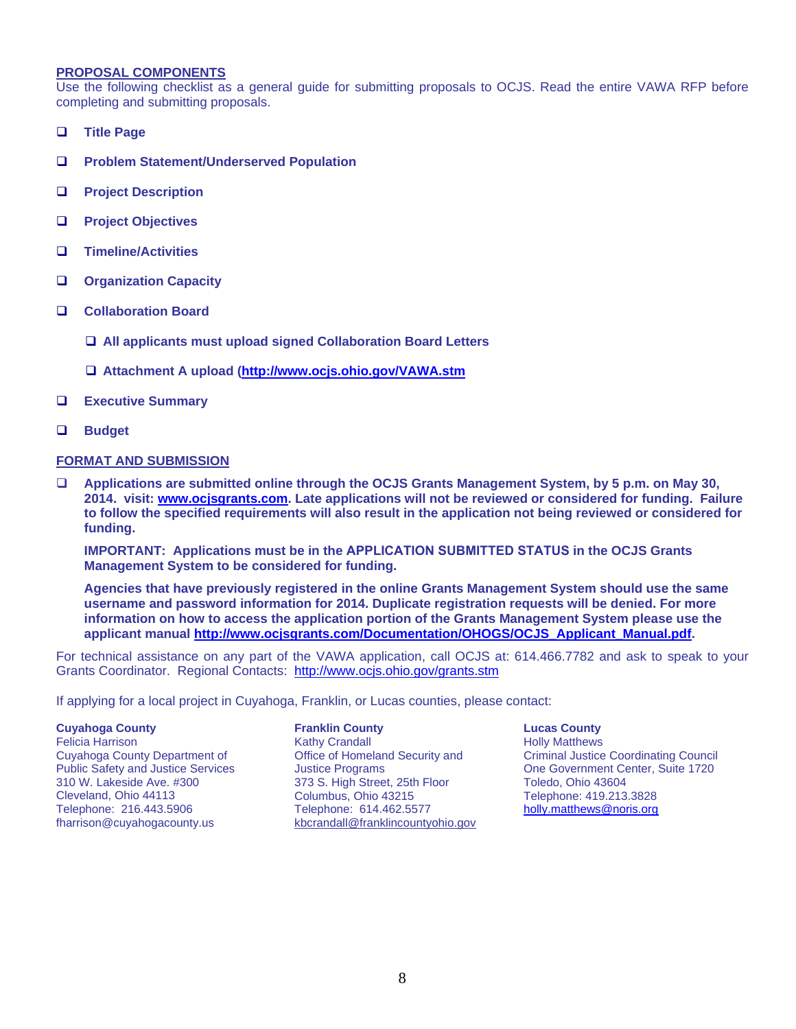#### **PROPOSAL COMPONENTS**

Use the following checklist as a general guide for submitting proposals to OCJS. Read the entire VAWA RFP before completing and submitting proposals.

- **Title Page**
- **Problem Statement/Underserved Population**
- **Project Description**
- **Project Objectives**
- **Timeline/Activities**
- **Organization Capacity**
- **Collaboration Board**
	- **All applicants must upload signed Collaboration Board Letters**
	- **Attachment A upload [\(http://www.ocjs.ohio.gov/VAWA.stm](http://www.ocjs.ohio.gov/VAWA.stm)**
- **Executive Summary**
- **Budget**

#### **FORMAT AND SUBMISSION**

 **Applications are submitted online through the OCJS Grants Management System, by 5 p.m. on May 30, 2014. visit: [www.ocjsgrants.com.](http://www.ocjsgrants.com/) Late applications will not be reviewed or considered for funding. Failure to follow the specified requirements will also result in the application not being reviewed or considered for funding.**

**IMPORTANT: Applications must be in the APPLICATION SUBMITTED STATUS in the OCJS Grants Management System to be considered for funding.**

**Agencies that have previously registered in the online Grants Management System should use the same username and password information for 2014. Duplicate registration requests will be denied. For more information on how to access the application portion of the Grants Management System please use the applicant manual [http://www.ocjsgrants.com/Documentation/OHOGS/OCJS\\_Applicant\\_Manual.pdf.](http://www.ocjsgrants.com/Documentation/OHOGS/OCJS_Applicant_Manual.pdf)**

For technical assistance on any part of the VAWA application, call OCJS at: 614.466.7782 and ask to speak to your Grants Coordinator. Regional Contacts: <http://www.ocjs.ohio.gov/grants.stm>

If applying for a local project in Cuyahoga, Franklin, or Lucas counties, please contact:

#### **Cuyahoga County**

Felicia Harrison Cuyahoga County Department of Public Safety and Justice Services 310 W. Lakeside Ave. #300 Cleveland, Ohio 44113 Telephone: 216.443.5906 fharrison@cuyahogacounty.us

**Franklin County** Kathy Crandall Office of Homeland Security and Justice Programs 373 S. High Street, 25th Floor Columbus, Ohio 43215 Telephone: 614.462.5577 [kbcrandall@franklincountyohio.gov](mailto:kbcrandall@franklincountyohio.gov) **Lucas County** Holly Matthews Criminal Justice Coordinating Council One Government Center, Suite 1720 Toledo, Ohio 43604 Telephone: 419.213.3828 [holly.matthews@noris.org](mailto:holly.matthews@noris.org)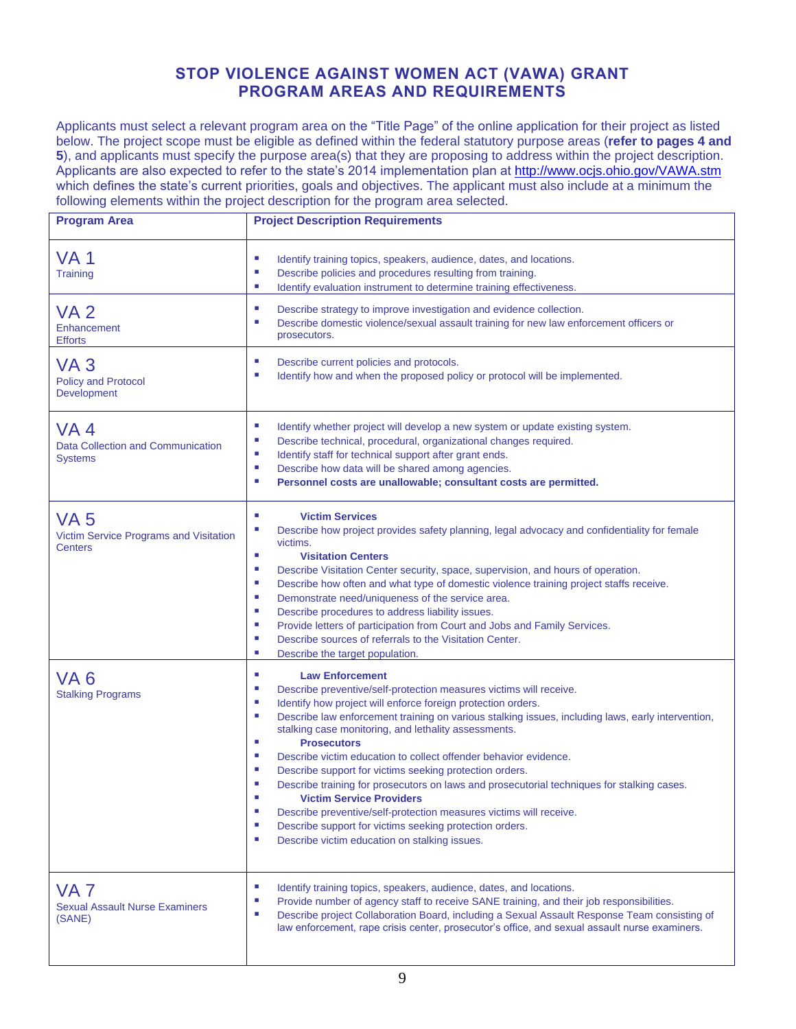## **STOP VIOLENCE AGAINST WOMEN ACT (VAWA) GRANT PROGRAM AREAS AND REQUIREMENTS**

Applicants must select a relevant program area on the "Title Page" of the online application for their project as listed below. The project scope must be eligible as defined within the federal statutory purpose areas (**refer to pages 4 and 5**), and applicants must specify the purpose area(s) that they are proposing to address within the project description. Applicants are also expected to refer to the state's 2014 implementation plan at<http://www.ocjs.ohio.gov/VAWA.stm> which defines the state's current priorities, goals and objectives. The applicant must also include at a minimum the following elements within the project description for the program area selected.

| <b>Program Area</b>                                                         | <b>Project Description Requirements</b>                                                                                                                                                                                                                                                                                                                                                                                                                                                                                                                                                                                                                                                                                                                                                                                                                           |  |  |  |  |
|-----------------------------------------------------------------------------|-------------------------------------------------------------------------------------------------------------------------------------------------------------------------------------------------------------------------------------------------------------------------------------------------------------------------------------------------------------------------------------------------------------------------------------------------------------------------------------------------------------------------------------------------------------------------------------------------------------------------------------------------------------------------------------------------------------------------------------------------------------------------------------------------------------------------------------------------------------------|--|--|--|--|
| <b>VA1</b><br><b>Training</b>                                               | ×<br>Identify training topics, speakers, audience, dates, and locations.<br>Describe policies and procedures resulting from training.<br>×<br>×<br>Identify evaluation instrument to determine training effectiveness.                                                                                                                                                                                                                                                                                                                                                                                                                                                                                                                                                                                                                                            |  |  |  |  |
| <b>VA2</b><br>Enhancement<br><b>Efforts</b>                                 | Describe strategy to improve investigation and evidence collection.<br>Describe domestic violence/sexual assault training for new law enforcement officers or<br>prosecutors.                                                                                                                                                                                                                                                                                                                                                                                                                                                                                                                                                                                                                                                                                     |  |  |  |  |
| VA <sub>3</sub><br><b>Policy and Protocol</b><br>Development                | ×<br>Describe current policies and protocols.<br>×<br>Identify how and when the proposed policy or protocol will be implemented.                                                                                                                                                                                                                                                                                                                                                                                                                                                                                                                                                                                                                                                                                                                                  |  |  |  |  |
| VA <sub>4</sub><br>Data Collection and Communication<br><b>Systems</b>      | ×<br>Identify whether project will develop a new system or update existing system.<br><b>CO</b><br>Describe technical, procedural, organizational changes required.<br>Identify staff for technical support after grant ends.<br>×<br>Describe how data will be shared among agencies.<br>×<br>Personnel costs are unallowable; consultant costs are permitted.<br>×                                                                                                                                                                                                                                                                                                                                                                                                                                                                                              |  |  |  |  |
| VA <sub>5</sub><br>Victim Service Programs and Visitation<br><b>Centers</b> | <b>Victim Services</b><br>п<br>Describe how project provides safety planning, legal advocacy and confidentiality for female<br>×<br>victims.<br><b>CO</b><br><b>Visitation Centers</b><br>Describe Visitation Center security, space, supervision, and hours of operation.<br>ш<br>Describe how often and what type of domestic violence training project staffs receive.<br>ш<br>Demonstrate need/uniqueness of the service area.<br>×<br>Describe procedures to address liability issues.<br>×<br>Provide letters of participation from Court and Jobs and Family Services.<br>п<br>Describe sources of referrals to the Visitation Center.<br>×<br>×<br>Describe the target population.                                                                                                                                                                        |  |  |  |  |
| VA <sub>6</sub><br><b>Stalking Programs</b>                                 | ×<br><b>Law Enforcement</b><br>Describe preventive/self-protection measures victims will receive.<br>a.<br>Identify how project will enforce foreign protection orders.<br>×<br>Describe law enforcement training on various stalking issues, including laws, early intervention,<br>×<br>stalking case monitoring, and lethality assessments.<br>×<br><b>Prosecutors</b><br>×<br>Describe victim education to collect offender behavior evidence.<br>×<br>Describe support for victims seeking protection orders.<br>×<br>Describe training for prosecutors on laws and prosecutorial techniques for stalking cases.<br><b>Victim Service Providers</b><br>Describe preventive/self-protection measures victims will receive.<br>п<br>Describe support for victims seeking protection orders.<br>ш<br><b>CO</b><br>Describe victim education on stalking issues. |  |  |  |  |
| VA <sub>7</sub><br><b>Sexual Assault Nurse Examiners</b><br>(SANE)          | ×<br>Identify training topics, speakers, audience, dates, and locations.<br>٠<br>Provide number of agency staff to receive SANE training, and their job responsibilities.<br>Describe project Collaboration Board, including a Sexual Assault Response Team consisting of<br>×<br>law enforcement, rape crisis center, prosecutor's office, and sexual assault nurse examiners.                                                                                                                                                                                                                                                                                                                                                                                                                                                                                   |  |  |  |  |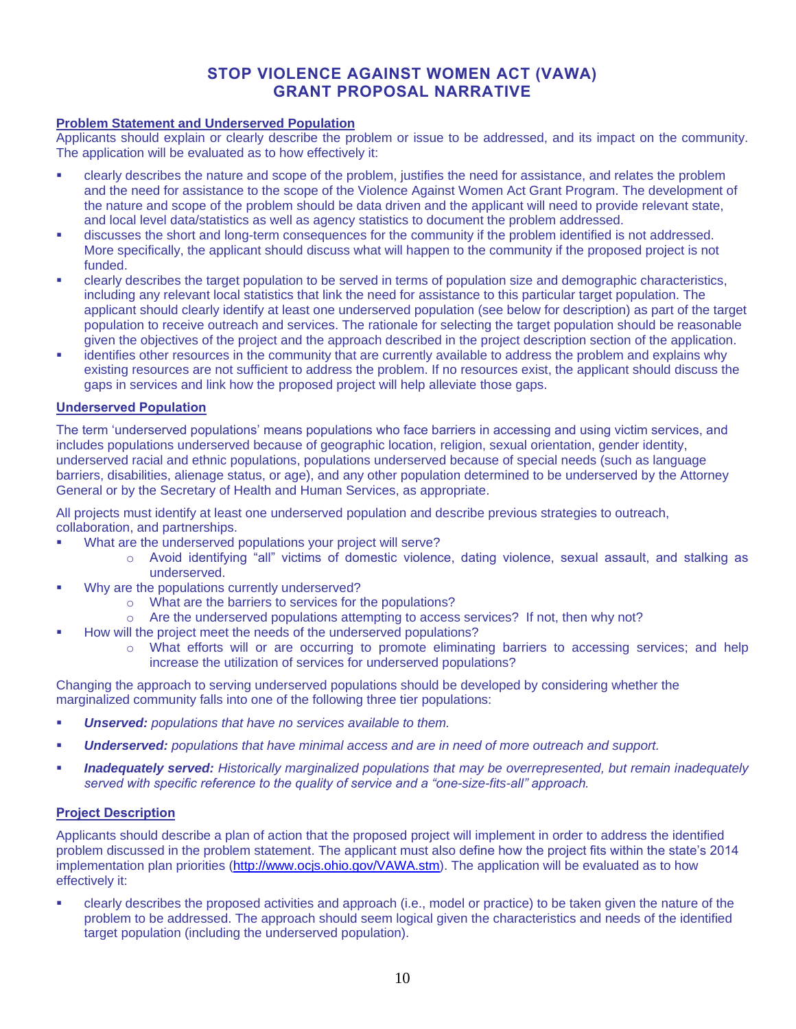### **STOP VIOLENCE AGAINST WOMEN ACT (VAWA) GRANT PROPOSAL NARRATIVE**

#### **Problem Statement and Underserved Population**

Applicants should explain or clearly describe the problem or issue to be addressed, and its impact on the community. The application will be evaluated as to how effectively it:

- clearly describes the nature and scope of the problem, justifies the need for assistance, and relates the problem and the need for assistance to the scope of the Violence Against Women Act Grant Program. The development of the nature and scope of the problem should be data driven and the applicant will need to provide relevant state, and local level data/statistics as well as agency statistics to document the problem addressed.
- discusses the short and long-term consequences for the community if the problem identified is not addressed. More specifically, the applicant should discuss what will happen to the community if the proposed project is not funded.
- clearly describes the target population to be served in terms of population size and demographic characteristics, including any relevant local statistics that link the need for assistance to this particular target population. The applicant should clearly identify at least one underserved population (see below for description) as part of the target population to receive outreach and services. The rationale for selecting the target population should be reasonable given the objectives of the project and the approach described in the project description section of the application.
- identifies other resources in the community that are currently available to address the problem and explains why existing resources are not sufficient to address the problem. If no resources exist, the applicant should discuss the gaps in services and link how the proposed project will help alleviate those gaps.

#### **Underserved Population**

The term 'underserved populations' means populations who face barriers in accessing and using victim services, and includes populations underserved because of geographic location, religion, sexual orientation, gender identity, underserved racial and ethnic populations, populations underserved because of special needs (such as language barriers, disabilities, alienage status, or age), and any other population determined to be underserved by the Attorney General or by the Secretary of Health and Human Services, as appropriate.

All projects must identify at least one underserved population and describe previous strategies to outreach, collaboration, and partnerships.

- What are the underserved populations your project will serve?
	- o Avoid identifying "all" victims of domestic violence, dating violence, sexual assault, and stalking as underserved.
- Why are the populations currently underserved?
	- o What are the barriers to services for the populations?
	- o Are the underserved populations attempting to access services? If not, then why not?
- How will the project meet the needs of the underserved populations?
	- o What efforts will or are occurring to promote eliminating barriers to accessing services; and help increase the utilization of services for underserved populations?

Changing the approach to serving underserved populations should be developed by considering whether the marginalized community falls into one of the following three tier populations:

- *Unserved: populations that have no services available to them.*
- *Underserved: populations that have minimal access and are in need of more outreach and support.*
- *Inadequately served: Historically marginalized populations that may be overrepresented, but remain inadequately served with specific reference to the quality of service and a "one-size-fits-all" approach.*

#### **Project Description**

Applicants should describe a plan of action that the proposed project will implement in order to address the identified problem discussed in the problem statement. The applicant must also define how the project fits within the state's 2014 implementation plan priorities [\(http://www.ocjs.ohio.gov/VAWA.stm\)](http://www.ocjs.ohio.gov/VAWA.stm). The application will be evaluated as to how effectively it:

 clearly describes the proposed activities and approach (i.e., model or practice) to be taken given the nature of the problem to be addressed. The approach should seem logical given the characteristics and needs of the identified target population (including the underserved population).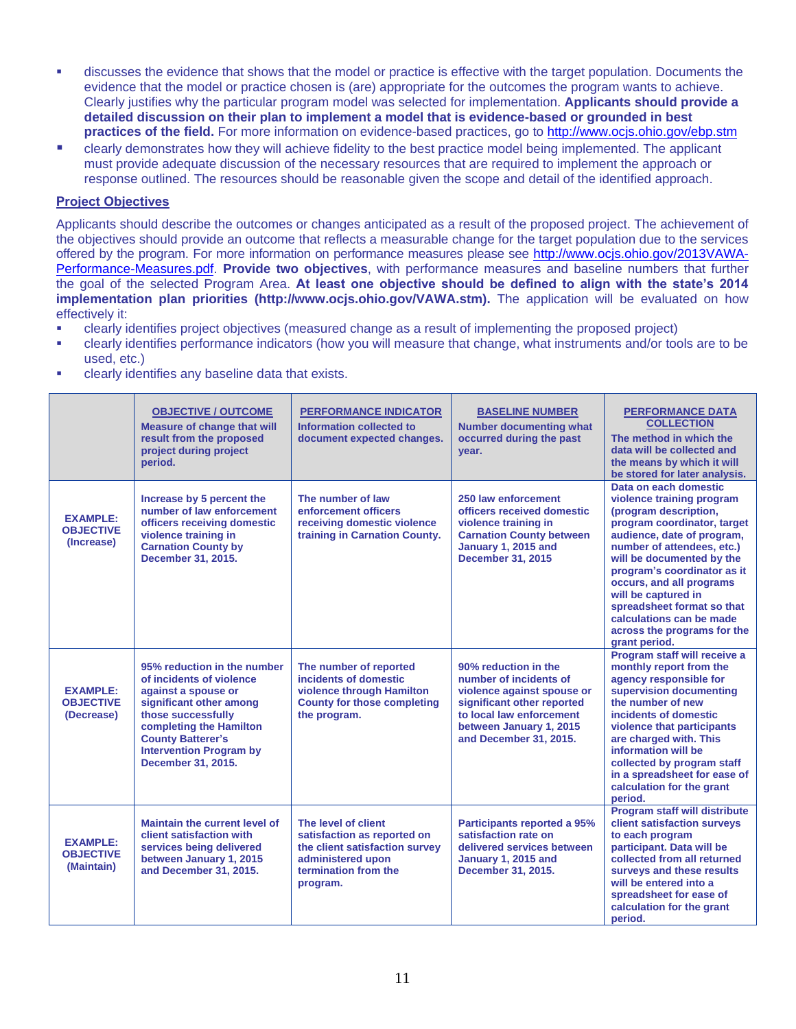- discusses the evidence that shows that the model or practice is effective with the target population. Documents the evidence that the model or practice chosen is (are) appropriate for the outcomes the program wants to achieve. Clearly justifies why the particular program model was selected for implementation. **Applicants should provide a detailed discussion on their plan to implement a model that is evidence-based or grounded in best practices of the field.** For more information on evidence-based practices, go to<http://www.ocjs.ohio.gov/ebp.stm>
- clearly demonstrates how they will achieve fidelity to the best practice model being implemented. The applicant must provide adequate discussion of the necessary resources that are required to implement the approach or response outlined. The resources should be reasonable given the scope and detail of the identified approach.

#### **Project Objectives**

Applicants should describe the outcomes or changes anticipated as a result of the proposed project. The achievement of the objectives should provide an outcome that reflects a measurable change for the target population due to the services offered by the program. For more information on performance measures please see [http://www.ocjs.ohio.gov/2013VAWA-](http://www.ocjs.ohio.gov/2013VAWA-Performance-Measures.pdf)[Performance-Measures.pdf.](http://www.ocjs.ohio.gov/2013VAWA-Performance-Measures.pdf) **Provide two objectives**, with performance measures and baseline numbers that further the goal of the selected Program Area. **At least one objective should be defined to align with the state's 2014 implementation plan priorities (http://www.ocjs.ohio.gov/VAWA.stm).** The application will be evaluated on how effectively it:

- clearly identifies project objectives (measured change as a result of implementing the proposed project)
- clearly identifies performance indicators (how you will measure that change, what instruments and/or tools are to be used, etc.)
- **EXECUTE:** clearly identifies any baseline data that exists.

|                                                   | <b>OBJECTIVE / OUTCOME</b><br><b>Measure of change that will</b><br>result from the proposed<br>project during project<br>period.                                                                                                              | <b>PERFORMANCE INDICATOR</b><br>Information collected to<br>document expected changes.                                                        | <b>BASELINE NUMBER</b><br><b>Number documenting what</b><br>occurred during the past<br>year.                                                                                               | <b>PERFORMANCE DATA</b><br><b>COLLECTION</b><br>The method in which the<br>data will be collected and<br>the means by which it will<br>be stored for later analysis.                                                                                                                                                                                                                            |
|---------------------------------------------------|------------------------------------------------------------------------------------------------------------------------------------------------------------------------------------------------------------------------------------------------|-----------------------------------------------------------------------------------------------------------------------------------------------|---------------------------------------------------------------------------------------------------------------------------------------------------------------------------------------------|-------------------------------------------------------------------------------------------------------------------------------------------------------------------------------------------------------------------------------------------------------------------------------------------------------------------------------------------------------------------------------------------------|
| <b>EXAMPLE:</b><br><b>OBJECTIVE</b><br>(Increase) | Increase by 5 percent the<br>number of law enforcement<br>officers receiving domestic<br>violence training in<br><b>Carnation County by</b><br>December 31, 2015.                                                                              | The number of law<br>enforcement officers<br>receiving domestic violence<br>training in Carnation County.                                     | 250 law enforcement<br>officers received domestic<br>violence training in<br><b>Carnation County between</b><br>January 1, 2015 and<br><b>December 31, 2015</b>                             | Data on each domestic<br>violence training program<br>(program description,<br>program coordinator, target<br>audience, date of program,<br>number of attendees, etc.)<br>will be documented by the<br>program's coordinator as it<br>occurs, and all programs<br>will be captured in<br>spreadsheet format so that<br>calculations can be made<br>across the programs for the<br>grant period. |
| <b>EXAMPLE:</b><br><b>OBJECTIVE</b><br>(Decrease) | 95% reduction in the number<br>of incidents of violence<br>against a spouse or<br>significant other among<br>those successfully<br>completing the Hamilton<br><b>County Batterer's</b><br><b>Intervention Program by</b><br>December 31, 2015. | The number of reported<br>incidents of domestic<br>violence through Hamilton<br><b>County for those completing</b><br>the program.            | 90% reduction in the<br>number of incidents of<br>violence against spouse or<br>significant other reported<br>to local law enforcement<br>between January 1, 2015<br>and December 31, 2015. | Program staff will receive a<br>monthly report from the<br>agency responsible for<br>supervision documenting<br>the number of new<br>incidents of domestic<br>violence that participants<br>are charged with. This<br>information will be<br>collected by program staff<br>in a spreadsheet for ease of<br>calculation for the grant<br>period.                                                 |
| <b>EXAMPLE:</b><br><b>OBJECTIVE</b><br>(Maintain) | <b>Maintain the current level of</b><br>client satisfaction with<br>services being delivered<br>between January 1, 2015<br>and December 31, 2015.                                                                                              | The level of client<br>satisfaction as reported on<br>the client satisfaction survey<br>administered upon<br>termination from the<br>program. | <b>Participants reported a 95%</b><br>satisfaction rate on<br>delivered services between<br>January 1, 2015 and<br>December 31, 2015.                                                       | <b>Program staff will distribute</b><br>client satisfaction surveys<br>to each program<br>participant. Data will be<br>collected from all returned<br>surveys and these results<br>will be entered into a<br>spreadsheet for ease of<br>calculation for the grant<br>period.                                                                                                                    |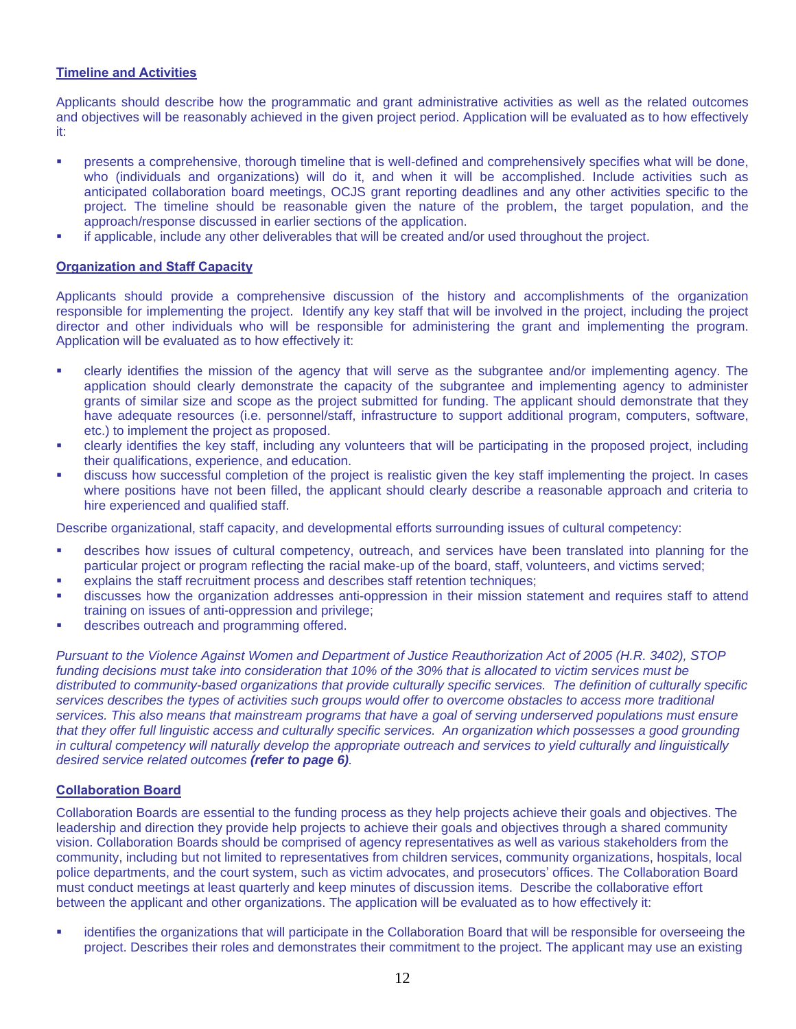#### **Timeline and Activities**

Applicants should describe how the programmatic and grant administrative activities as well as the related outcomes and objectives will be reasonably achieved in the given project period. Application will be evaluated as to how effectively it:

- **•** presents a comprehensive, thorough timeline that is well-defined and comprehensively specifies what will be done, who (individuals and organizations) will do it, and when it will be accomplished. Include activities such as anticipated collaboration board meetings, OCJS grant reporting deadlines and any other activities specific to the project. The timeline should be reasonable given the nature of the problem, the target population, and the approach/response discussed in earlier sections of the application.
- if applicable, include any other deliverables that will be created and/or used throughout the project.

#### **Organization and Staff Capacity**

Applicants should provide a comprehensive discussion of the history and accomplishments of the organization responsible for implementing the project. Identify any key staff that will be involved in the project, including the project director and other individuals who will be responsible for administering the grant and implementing the program. Application will be evaluated as to how effectively it:

- clearly identifies the mission of the agency that will serve as the subgrantee and/or implementing agency. The application should clearly demonstrate the capacity of the subgrantee and implementing agency to administer grants of similar size and scope as the project submitted for funding. The applicant should demonstrate that they have adequate resources (i.e. personnel/staff, infrastructure to support additional program, computers, software, etc.) to implement the project as proposed.
- clearly identifies the key staff, including any volunteers that will be participating in the proposed project, including their qualifications, experience, and education.
- discuss how successful completion of the project is realistic given the key staff implementing the project. In cases where positions have not been filled, the applicant should clearly describe a reasonable approach and criteria to hire experienced and qualified staff.

Describe organizational, staff capacity, and developmental efforts surrounding issues of cultural competency:

- describes how issues of cultural competency, outreach, and services have been translated into planning for the particular project or program reflecting the racial make-up of the board, staff, volunteers, and victims served;
- explains the staff recruitment process and describes staff retention techniques;
- discusses how the organization addresses anti-oppression in their mission statement and requires staff to attend training on issues of anti-oppression and privilege;
- describes outreach and programming offered.

*Pursuant to the Violence Against Women and Department of Justice Reauthorization Act of 2005 (H.R. 3402), STOP funding decisions must take into consideration that 10% of the 30% that is allocated to victim services must be distributed to community-based organizations that provide culturally specific services. The definition of culturally specific services describes the types of activities such groups would offer to overcome obstacles to access more traditional services. This also means that mainstream programs that have a goal of serving underserved populations must ensure that they offer full linguistic access and culturally specific services. An organization which possesses a good grounding in cultural competency will naturally develop the appropriate outreach and services to yield culturally and linguistically desired service related outcomes (refer to page 6).*

#### **Collaboration Board**

Collaboration Boards are essential to the funding process as they help projects achieve their goals and objectives. The leadership and direction they provide help projects to achieve their goals and objectives through a shared community vision. Collaboration Boards should be comprised of agency representatives as well as various stakeholders from the community, including but not limited to representatives from children services, community organizations, hospitals, local police departments, and the court system, such as victim advocates, and prosecutors' offices. The Collaboration Board must conduct meetings at least quarterly and keep minutes of discussion items. Describe the collaborative effort between the applicant and other organizations. The application will be evaluated as to how effectively it:

 identifies the organizations that will participate in the Collaboration Board that will be responsible for overseeing the project. Describes their roles and demonstrates their commitment to the project. The applicant may use an existing